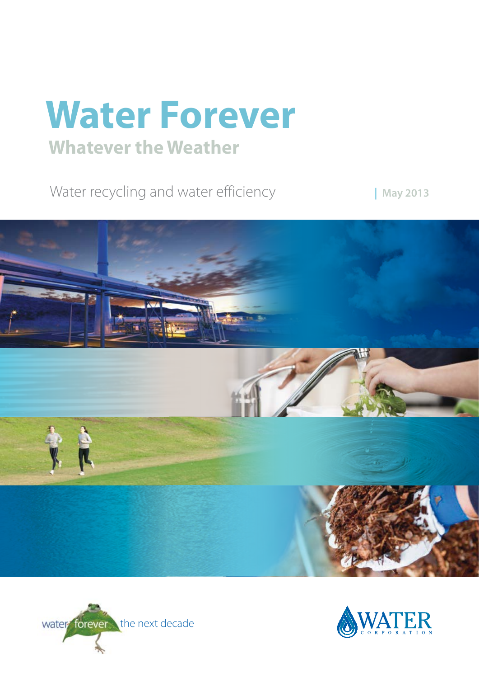# **Water Forever Whatever the Weather**

Water recycling and water efficiency

**| May 2013**





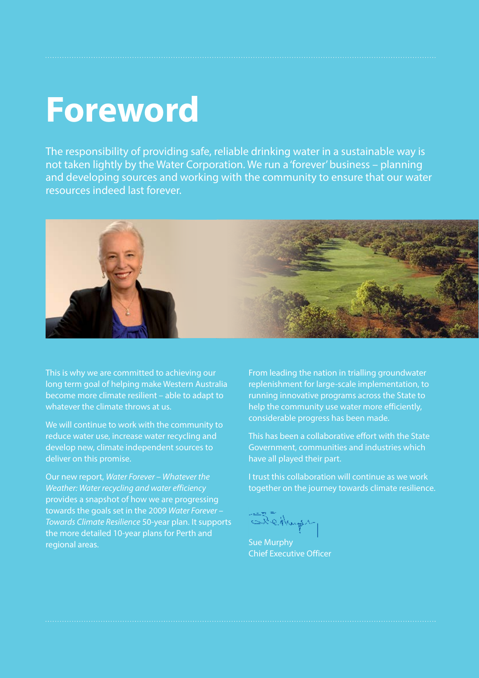# **Foreword**

The responsibility of providing safe, reliable drinking water in a sustainable way is not taken lightly by the Water Corporation. We run a 'forever' business – planning and developing sources and working with the community to ensure that our water resources indeed last forever.



This is why we are committed to achieving our long term goal of helping make Western Australia become more climate resilient – able to adapt to whatever the climate throws at us.

We will continue to work with the community to reduce water use, increase water recycling and develop new, climate independent sources to deliver on this promise.

Our new report, *Water Forever – Whatever the Weather: Water recycling and water efficiency* provides a snapshot of how we are progressing towards the goals set in the 2009 *Water Forever – Towards Climate Resilience* 50-year plan. It supports the more detailed 10-year plans for Perth and regional areas.

From leading the nation in trialling groundwater replenishment for large-scale implementation, to running innovative programs across the State to help the community use water more efficiently, considerable progress has been made.

This has been a collaborative effort with the State Government, communities and industries which have all played their part.

I trust this collaboration will continue as we work together on the journey towards climate resilience.

Bedhups

Sue Murphy Chief Executive Officer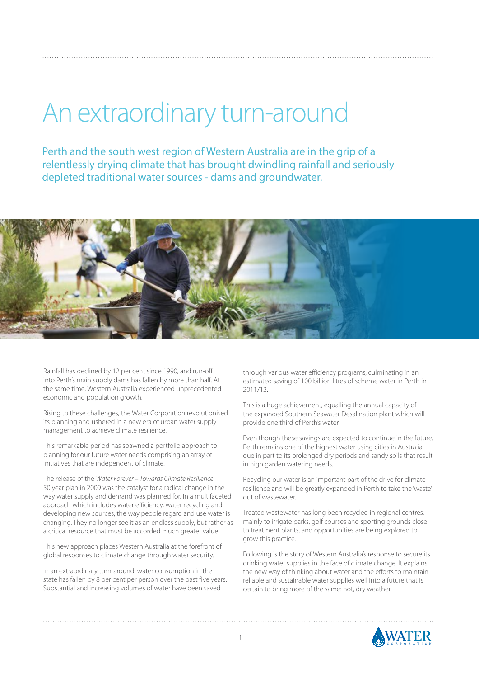# An extraordinary turn-around

Perth and the south west region of Western Australia are in the grip of a relentlessly drying climate that has brought dwindling rainfall and seriously depleted traditional water sources - dams and groundwater.



Rainfall has declined by 12 per cent since 1990, and run-off into Perth's main supply dams has fallen by more than half. At the same time, Western Australia experienced unprecedented economic and population growth.

Rising to these challenges, the Water Corporation revolutionised its planning and ushered in a new era of urban water supply management to achieve climate resilience.

This remarkable period has spawned a portfolio approach to planning for our future water needs comprising an array of initiatives that are independent of climate.

The release of the *Water Forever – Towards Climate Resilience* 50 year plan in 2009 was the catalyst for a radical change in the way water supply and demand was planned for. In a multifaceted approach which includes water efficiency, water recycling and developing new sources, the way people regard and use water is changing. They no longer see it as an endless supply, but rather as a critical resource that must be accorded much greater value.

This new approach places Western Australia at the forefront of global responses to climate change through water security.

In an extraordinary turn-around, water consumption in the state has fallen by 8 per cent per person over the past five years. Substantial and increasing volumes of water have been saved

through various water efficiency programs, culminating in an estimated saving of 100 billion litres of scheme water in Perth in 2011/12.

This is a huge achievement, equalling the annual capacity of the expanded Southern Seawater Desalination plant which will provide one third of Perth's water.

Even though these savings are expected to continue in the future, Perth remains one of the highest water using cities in Australia, due in part to its prolonged dry periods and sandy soils that result in high garden watering needs.

Recycling our water is an important part of the drive for climate resilience and will be greatly expanded in Perth to take the 'waste' out of wastewater.

Treated wastewater has long been recycled in regional centres, mainly to irrigate parks, golf courses and sporting grounds close to treatment plants, and opportunities are being explored to grow this practice.

Following is the story of Western Australia's response to secure its drinking water supplies in the face of climate change. It explains the new way of thinking about water and the efforts to maintain reliable and sustainable water supplies well into a future that is certain to bring more of the same: hot, dry weather.

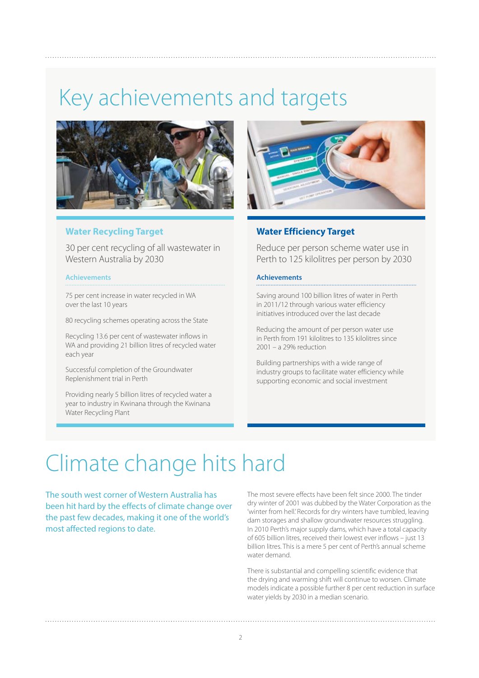### Key achievements and targets



#### **Water Recycling Target**

30 per cent recycling of all wastewater in Western Australia by 2030

#### **Achievements**

75 per cent increase in water recycled in WA over the last 10 years

80 recycling schemes operating across the State

Recycling 13.6 per cent of wastewater inflows in WA and providing 21 billion litres of recycled water each year

Successful completion of the Groundwater Replenishment trial in Perth

Providing nearly 5 billion litres of recycled water a year to industry in Kwinana through the Kwinana Water Recycling Plant



### **Water Efficiency Target**

Reduce per person scheme water use in Perth to 125 kilolitres per person by 2030

#### **Achievements**

Saving around 100 billion litres of water in Perth in 2011/12 through various water efficiency initiatives introduced over the last decade

Reducing the amount of per person water use in Perth from 191 kilolitres to 135 kilolitres since 2001 – a 29% reduction

Building partnerships with a wide range of industry groups to facilitate water efficiency while supporting economic and social investment

### Climate change hits hard

The south west corner of Western Australia has been hit hard by the effects of climate change over the past few decades, making it one of the world's most affected regions to date.

The most severe effects have been felt since 2000. The tinder dry winter of 2001 was dubbed by the Water Corporation as the 'winter from hell.' Records for dry winters have tumbled, leaving dam storages and shallow groundwater resources struggling. In 2010 Perth's major supply dams, which have a total capacity of 605 billion litres, received their lowest ever inflows – just 13 billion litres. This is a mere 5 per cent of Perth's annual scheme water demand.

There is substantial and compelling scientific evidence that the drying and warming shift will continue to worsen. Climate models indicate a possible further 8 per cent reduction in surface water yields by 2030 in a median scenario.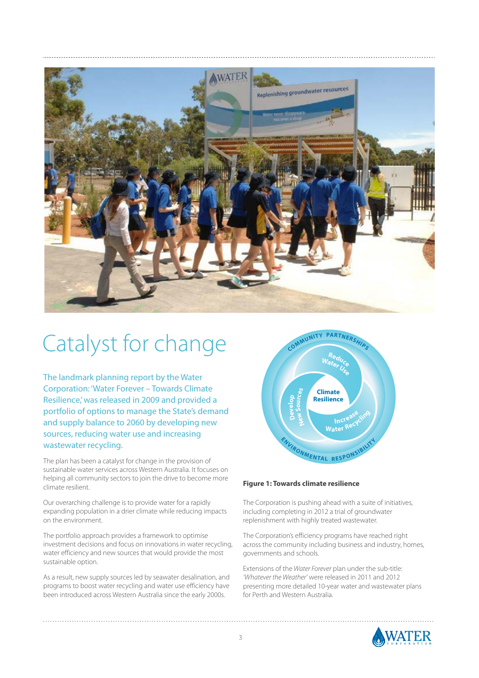

### Catalyst for change

The landmark planning report by the Water Corporation: 'Water Forever – Towards Climate Resilience,' was released in 2009 and provided a portfolio of options to manage the State's demand and supply balance to 2060 by developing new sources, reducing water use and increasing wastewater recycling.

The plan has been a catalyst for change in the provision of sustainable water services across Western Australia. It focuses on helping all community sectors to join the drive to become more climate resilient.

Our overarching challenge is to provide water for a rapidly expanding population in a drier climate while reducing impacts on the environment.

The portfolio approach provides a framework to optimise investment decisions and focus on innovations in water recycling, water efficiency and new sources that would provide the most sustainable option.

As a result, new supply sources led by seawater desalination, and programs to boost water recycling and water use efficiency have been introduced across Western Australia since the early 2000s.



#### **Figure 1: Towards climate resilience**

The Corporation is pushing ahead with a suite of initiatives, including completing in 2012 a trial of groundwater replenishment with highly treated wastewater.

The Corporation's efficiency programs have reached right across the community including business and industry, homes, governments and schools.

Extensions of the *Water Forever* plan under the sub-title: *'Whatever the Weather'* were released in 2011 and 2012 presenting more detailed 10-year water and wastewater plans for Perth and Western Australia.

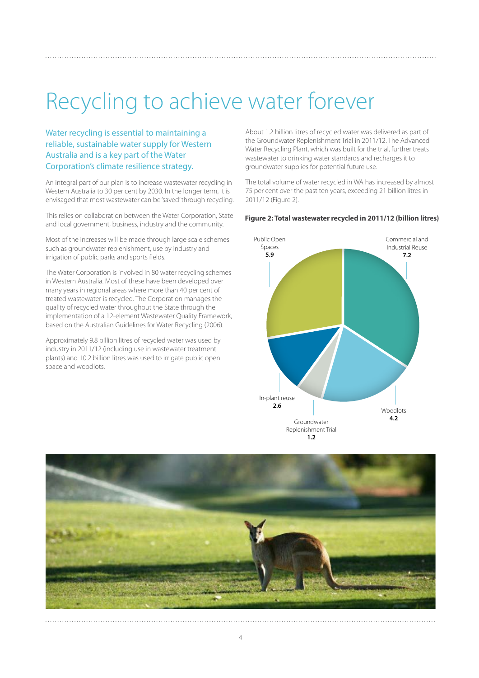### Recycling to achieve water forever

Water recycling is essential to maintaining a reliable, sustainable water supply for Western Australia and is a key part of the Water Corporation's climate resilience strategy.

An integral part of our plan is to increase wastewater recycling in Western Australia to 30 per cent by 2030. In the longer term, it is envisaged that most wastewater can be 'saved' through recycling.

This relies on collaboration between the Water Corporation, State and local government, business, industry and the community.

Most of the increases will be made through large scale schemes such as groundwater replenishment, use by industry and irrigation of public parks and sports fields.

The Water Corporation is involved in 80 water recycling schemes in Western Australia. Most of these have been developed over many years in regional areas where more than 40 per cent of treated wastewater is recycled. The Corporation manages the quality of recycled water throughout the State through the implementation of a 12-element Wastewater Quality Framework, based on the Australian Guidelines for Water Recycling (2006).

Approximately 9.8 billion litres of recycled water was used by industry in 2011/12 (including use in wastewater treatment plants) and 10.2 billion litres was used to irrigate public open space and woodlots.

About 1.2 billion litres of recycled water was delivered as part of the Groundwater Replenishment Trial in 2011/12. The Advanced Water Recycling Plant, which was built for the trial, further treats wastewater to drinking water standards and recharges it to groundwater supplies for potential future use.

The total volume of water recycled in WA has increased by almost 75 per cent over the past ten years, exceeding 21 billion litres in 2011/12 (Figure 2).

#### **Figure 2: Total wastewater recycled in 2011/12 (billion litres)**



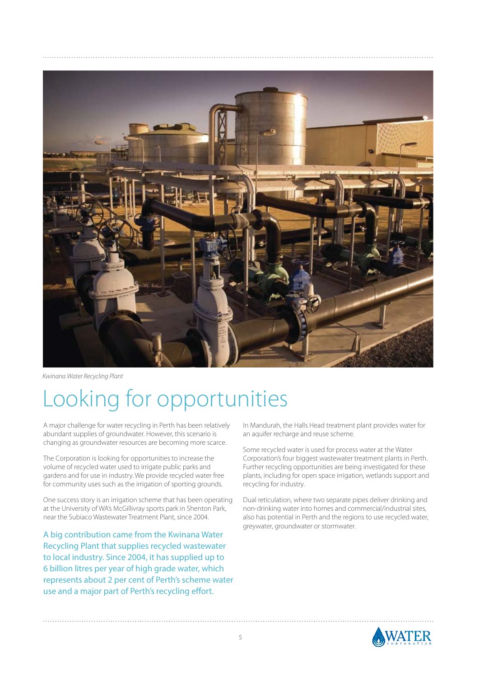

*Kwinana Water Recycling Plant*

### Looking for opportunities

A major challenge for water recycling in Perth has been relatively abundant supplies of groundwater. However, this scenario is changing as groundwater resources are becoming more scarce.

The Corporation is looking for opportunities to increase the volume of recycled water used to irrigate public parks and gardens and for use in industry. We provide recycled water free for community uses such as the irrigation of sporting grounds.

One success story is an irrigation scheme that has been operating at the University of WA's McGillivray sports park in Shenton Park, near the Subiaco Wastewater Treatment Plant, since 2004.

A big contribution came from the Kwinana Water Recycling Plant that supplies recycled wastewater to local industry. Since 2004, it has supplied up to 6 billion litres per year of high grade water, which represents about 2 per cent of Perth's scheme water use and a major part of Perth's recycling effort.

In Mandurah, the Halls Head treatment plant provides water for an aquifer recharge and reuse scheme.

Some recycled water is used for process water at the Water Corporation's four biggest wastewater treatment plants in Perth. Further recycling opportunities are being investigated for these plants, including for open space irrigation, wetlands support and recycling for industry.

Dual reticulation, where two separate pipes deliver drinking and non-drinking water into homes and commercial/industrial sites, also has potential in Perth and the regions to use recycled water, greywater, groundwater or stormwater.

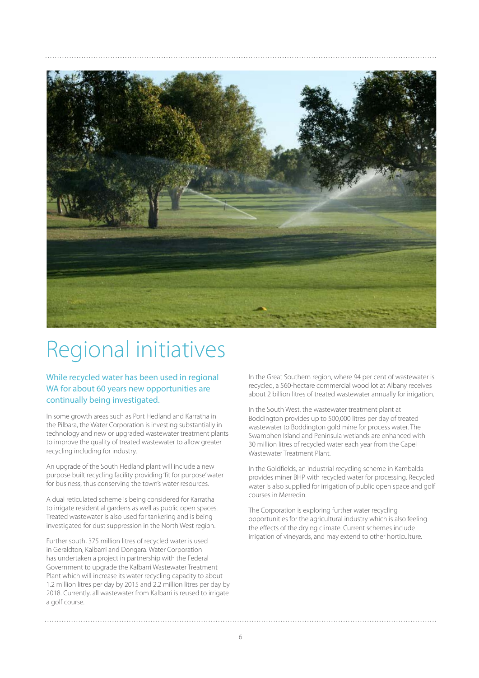

### Regional initiatives

While recycled water has been used in regional WA for about 60 years new opportunities are continually being investigated.

In some growth areas such as Port Hedland and Karratha in the Pilbara, the Water Corporation is investing substantially in technology and new or upgraded wastewater treatment plants to improve the quality of treated wastewater to allow greater recycling including for industry.

An upgrade of the South Hedland plant will include a new purpose built recycling facility providing 'fit for purpose' water for business, thus conserving the town's water resources.

A dual reticulated scheme is being considered for Karratha to irrigate residential gardens as well as public open spaces. Treated wastewater is also used for tankering and is being investigated for dust suppression in the North West region.

Further south, 375 million litres of recycled water is used in Geraldton, Kalbarri and Dongara. Water Corporation has undertaken a project in partnership with the Federal Government to upgrade the Kalbarri Wastewater Treatment Plant which will increase its water recycling capacity to about 1.2 million litres per day by 2015 and 2.2 million litres per day by 2018. Currently, all wastewater from Kalbarri is reused to irrigate a golf course.

In the Great Southern region, where 94 per cent of wastewater is recycled, a 560-hectare commercial wood lot at Albany receives about 2 billion litres of treated wastewater annually for irrigation.

In the South West, the wastewater treatment plant at Boddington provides up to 500,000 litres per day of treated wastewater to Boddington gold mine for process water. The Swamphen Island and Peninsula wetlands are enhanced with 30 million litres of recycled water each year from the Capel Wastewater Treatment Plant.

In the Goldfields, an industrial recycling scheme in Kambalda provides miner BHP with recycled water for processing. Recycled water is also supplied for irrigation of public open space and golf courses in Merredin.

The Corporation is exploring further water recycling opportunities for the agricultural industry which is also feeling the effects of the drying climate. Current schemes include irrigation of vineyards, and may extend to other horticulture.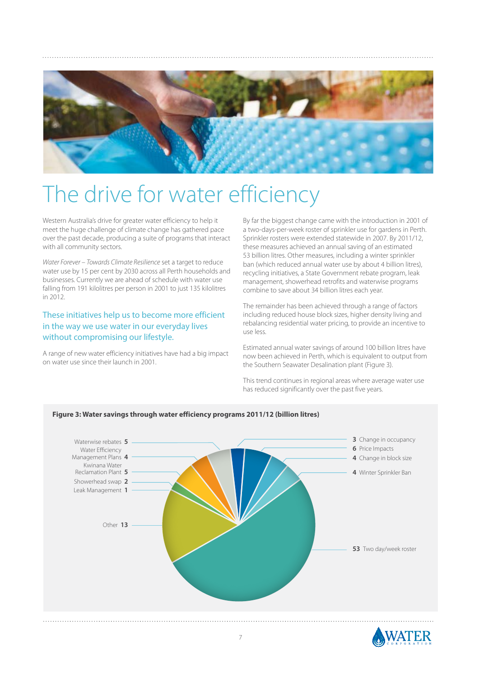

### The drive for water efficiency

Western Australia's drive for greater water efficiency to help it meet the huge challenge of climate change has gathered pace over the past decade, producing a suite of programs that interact with all community sectors.

*Water Forever – Towards Climate Resilience* set a target to reduce water use by 15 per cent by 2030 across all Perth households and businesses. Currently we are ahead of schedule with water use falling from 191 kilolitres per person in 2001 to just 135 kilolitres  $in$  2012.

### These initiatives help us to become more efficient in the way we use water in our everyday lives without compromising our lifestyle.

A range of new water efficiency initiatives have had a big impact on water use since their launch in 2001.

By far the biggest change came with the introduction in 2001 of a two-days-per-week roster of sprinkler use for gardens in Perth. Sprinkler rosters were extended statewide in 2007. By 2011/12, these measures achieved an annual saving of an estimated 53 billion litres. Other measures, including a winter sprinkler ban (which reduced annual water use by about 4 billion litres), recycling initiatives, a State Government rebate program, leak management, showerhead retrofits and waterwise programs combine to save about 34 billion litres each year.

The remainder has been achieved through a range of factors including reduced house block sizes, higher density living and rebalancing residential water pricing, to provide an incentive to use less.

Estimated annual water savings of around 100 billion litres have now been achieved in Perth, which is equivalent to output from the Southern Seawater Desalination plant (Figure 3).

This trend continues in regional areas where average water use has reduced significantly over the past five years.



#### **Figure 3: Water savings through water efficiency programs 2011/12 (billion litres)**

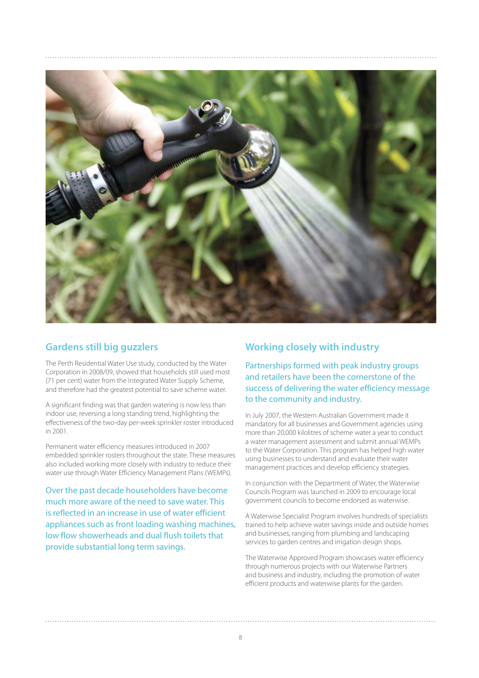

### **Gardens still big guzzlers**

The Perth Residential Water Use study, conducted by the Water Corporation in 2008/09, showed that households still used most (71 per cent) water from the Integrated Water Supply Scheme, and therefore had the greatest potential to save scheme water.

A significant finding was that garden watering is now less than indoor use, reversing a long standing trend, highlighting the effectiveness of the two-day per-week sprinkler roster introduced in 2001.

Permanent water efficiency measures introduced in 2007 embedded sprinkler rosters throughout the state. These measures also included working more closely with industry to reduce their water use through Water Efficiency Management Plans (WEMPs).

Over the past decade householders have become much more aware of the need to save water. This is reflected in an increase in use of water efficient appliances such as front loading washing machines, low flow showerheads and dual flush toilets that provide substantial long term savings.

### **Working closely with industry**

Partnerships formed with peak industry groups and retailers have been the cornerstone of the success of delivering the water efficiency message to the community and industry.

In July 2007, the Western Australian Government made it mandatory for all businesses and Government agencies using more than 20,000 kilolitres of scheme water a year to conduct a water management assessment and submit annual WEMPs to the Water Corporation. This program has helped high water using businesses to understand and evaluate their water management practices and develop efficiency strategies.

In conjunction with the Department of Water, the Waterwise Councils Program was launched in 2009 to encourage local government councils to become endorsed as waterwise.

A Waterwise Specialist Program involves hundreds of specialists trained to help achieve water savings inside and outside homes and businesses, ranging from plumbing and landscaping services to garden centres and irrigation design shops.

The Waterwise Approved Program showcases water efficiency through numerous projects with our Waterwise Partners and business and industry, including the promotion of water efficient products and waterwise plants for the garden.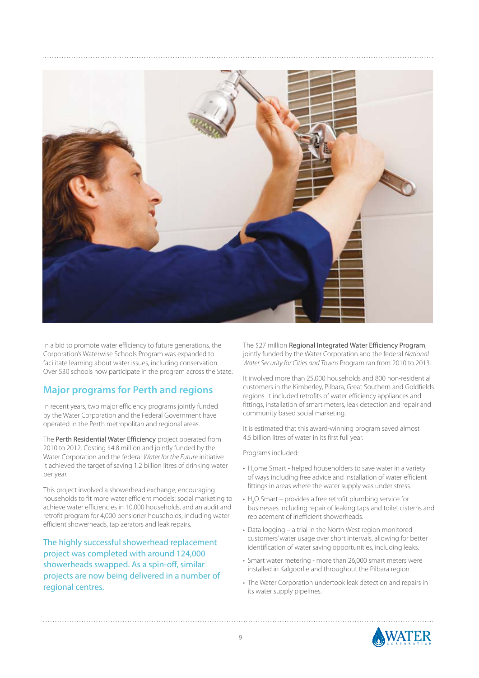

In a bid to promote water efficiency to future generations, the Corporation's Waterwise Schools Program was expanded to facilitate learning about water issues, including conservation. Over 530 schools now participate in the program across the State.

### **Major programs for Perth and regions**

In recent years, two major efficiency programs jointly funded by the Water Corporation and the Federal Government have operated in the Perth metropolitan and regional areas.

The Perth Residential Water Efficiency project operated from 2010 to 2012. Costing \$4.8 million and jointly funded by the Water Corporation and the federal *Water for the Future* initiative it achieved the target of saving 1.2 billion litres of drinking water per year.

This project involved a showerhead exchange, encouraging households to fit more water efficient models; social marketing to achieve water efficiencies in 10,000 households, and an audit and retrofit program for 4,000 pensioner households, including water efficient showerheads, tap aerators and leak repairs.

The highly successful showerhead replacement project was completed with around 124,000 showerheads swapped. As a spin-off, similar projects are now being delivered in a number of regional centres.

The \$27 million Regional Integrated Water Efficiency Program, jointly funded by the Water Corporation and the federal *National Water Security for Cities and Towns* Program ran from 2010 to 2013.

It involved more than 25,000 households and 800 non-residential customers in the Kimberley, Pilbara, Great Southern and Goldfields regions. It included retrofits of water efficiency appliances and fittings, installation of smart meters, leak detection and repair and community based social marketing.

It is estimated that this award-winning program saved almost 4.5 billion litres of water in its first full year.

Programs included:

- $\bullet$  H<sub>2</sub>ome Smart helped householders to save water in a variety of ways including free advice and installation of water efficient fittings in areas where the water supply was under stress.
- $H_2O$  Smart provides a free retrofit plumbing service for businesses including repair of leaking taps and toilet cisterns and replacement of inefficient showerheads.
- Data logging a trial in the North West region monitored customers' water usage over short intervals, allowing for better identification of water saving opportunities, including leaks.
- Smart water metering more than 26,000 smart meters were installed in Kalgoorlie and throughout the Pilbara region.
- The Water Corporation undertook leak detection and repairs in its water supply pipelines.

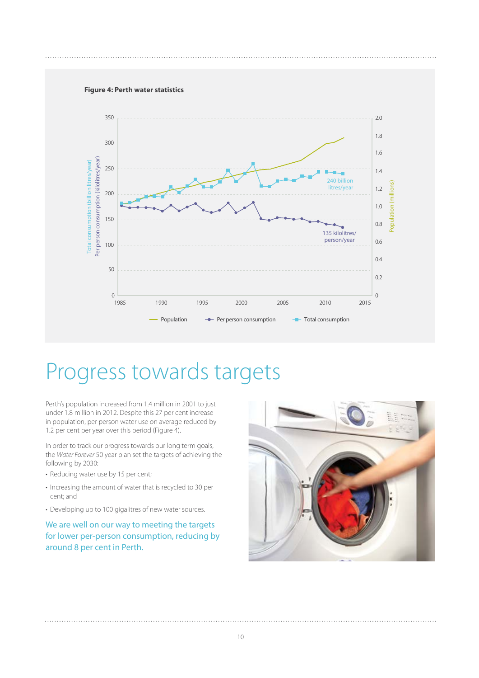#### **Figure 4: Perth water statistics**



### Progress towards targets

Perth's population increased from 1.4 million in 2001 to just under 1.8 million in 2012. Despite this 27 per cent increase in population, per person water use on average reduced by 1.2 per cent per year over this period (Figure 4).

In order to track our progress towards our long term goals, the *Water Forever* 50 year plan set the targets of achieving the following by 2030:

- Reducing water use by 15 per cent;
- Increasing the amount of water that is recycled to 30 per cent; and
- Developing up to 100 gigalitres of new water sources.

We are well on our way to meeting the targets for lower per-person consumption, reducing by around 8 per cent in Perth.

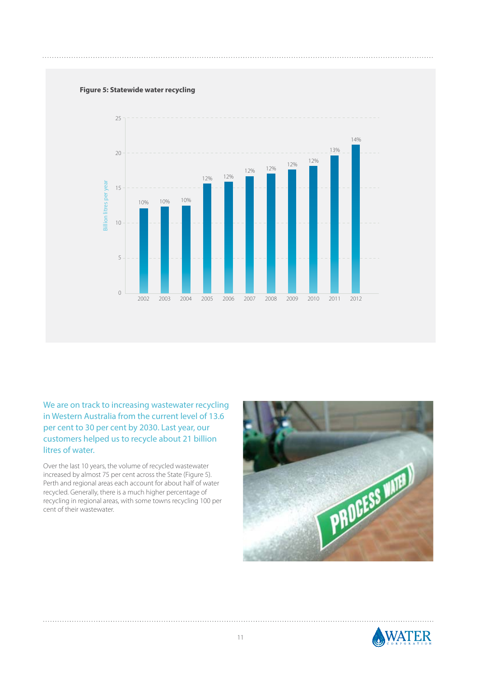#### **Figure 5: Statewide water recycling**



We are on track to increasing wastewater recycling in Western Australia from the current level of 13.6 per cent to 30 per cent by 2030. Last year, our customers helped us to recycle about 21 billion litres of water.

Over the last 10 years, the volume of recycled wastewater increased by almost 75 per cent across the State (Figure 5). Perth and regional areas each account for about half of water recycled. Generally, there is a much higher percentage of recycling in regional areas, with some towns recycling 100 per cent of their wastewater.



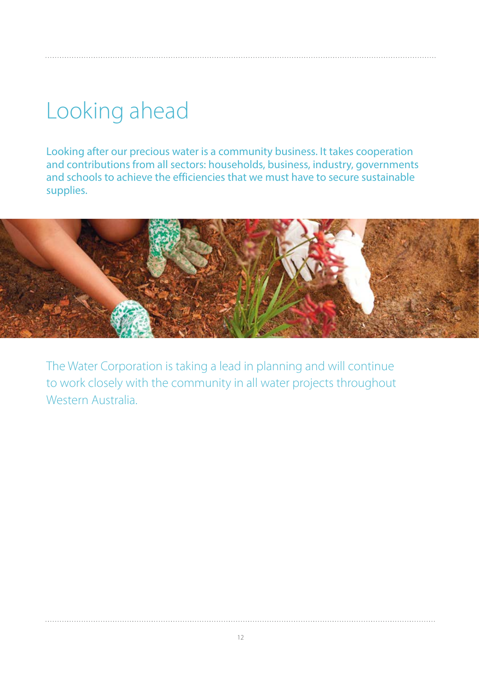## Looking ahead

Looking after our precious water is a community business. It takes cooperation and contributions from all sectors: households, business, industry, governments and schools to achieve the efficiencies that we must have to secure sustainable supplies.



The Water Corporation is taking a lead in planning and will continue to work closely with the community in all water projects throughout Western Australia.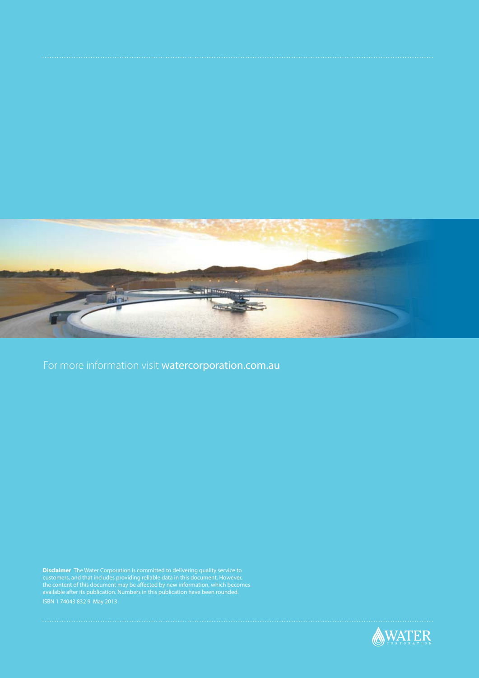

For more information visit watercorporation.com.au

**Disclaimer** The Water Corporation is committed to delivering quality service to